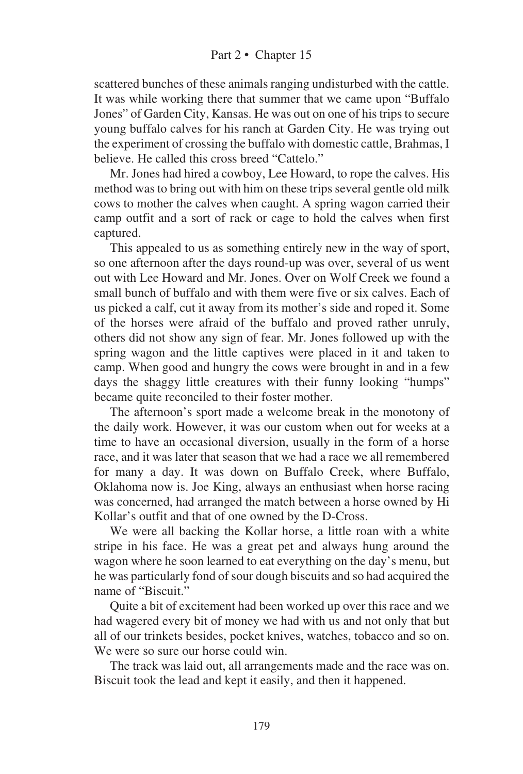scattered bunches of these animals ranging undisturbed with the cattle. It was while working there that summer that we came upon "Buffalo Jones" of Garden City, Kansas. He was out on one of his trips to secure young buffalo calves for his ranch at Garden City. He was trying out the experiment of crossing the buffalo with domestic cattle, Brahmas, I believe. He called this cross breed "Cattelo."

Mr. Jones had hired a cowboy, Lee Howard, to rope the calves. His method was to bring out with him on these trips several gentle old milk cows to mother the calves when caught. A spring wagon carried their camp outfit and a sort of rack or cage to hold the calves when first captured.

This appealed to us as something entirely new in the way of sport, so one afternoon after the days round-up was over, several of us went out with Lee Howard and Mr. Jones. Over on Wolf Creek we found a small bunch of buffalo and with them were five or six calves. Each of us picked a calf, cut it away from its mother's side and roped it. Some of the horses were afraid of the buffalo and proved rather unruly, others did not show any sign of fear. Mr. Jones followed up with the spring wagon and the little captives were placed in it and taken to camp. When good and hungry the cows were brought in and in a few days the shaggy little creatures with their funny looking "humps" became quite reconciled to their foster mother.

The afternoon's sport made a welcome break in the monotony of the daily work. However, it was our custom when out for weeks at a time to have an occasional diversion, usually in the form of a horse race, and it was later that season that we had a race we all remembered for many a day. It was down on Buffalo Creek, where Buffalo, Oklahoma now is. Joe King, always an enthusiast when horse racing was concerned, had arranged the match between a horse owned by Hi Kollar's outfit and that of one owned by the D-Cross.

We were all backing the Kollar horse, a little roan with a white stripe in his face. He was a great pet and always hung around the wagon where he soon learned to eat everything on the day's menu, but he was particularly fond of sour dough biscuits and so had acquired the name of "Biscuit."

Quite a bit of excitement had been worked up over this race and we had wagered every bit of money we had with us and not only that but all of our trinkets besides, pocket knives, watches, tobacco and so on. We were so sure our horse could win.

The track was laid out, all arrangements made and the race was on. Biscuit took the lead and kept it easily, and then it happened.